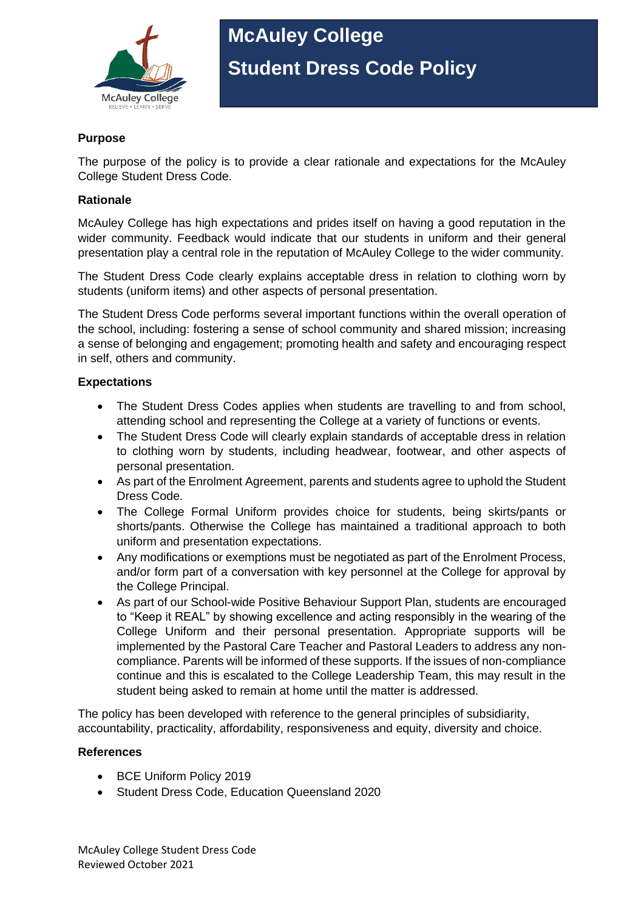

# **McAuley College Student Dress Code Policy**

### **Purpose**

The purpose of the policy is to provide a clear rationale and expectations for the McAuley College Student Dress Code.

#### **Rationale**

McAuley College has high expectations and prides itself on having a good reputation in the wider community. Feedback would indicate that our students in uniform and their general presentation play a central role in the reputation of McAuley College to the wider community.

The Student Dress Code clearly explains acceptable dress in relation to clothing worn by students (uniform items) and other aspects of personal presentation.

The Student Dress Code performs several important functions within the overall operation of the school, including: fostering a sense of school community and shared mission; increasing a sense of belonging and engagement; promoting health and safety and encouraging respect in self, others and community.

#### **Expectations**

- The Student Dress Codes applies when students are travelling to and from school, attending school and representing the College at a variety of functions or events.
- The Student Dress Code will clearly explain standards of acceptable dress in relation to clothing worn by students, including headwear, footwear, and other aspects of personal presentation.
- As part of the Enrolment Agreement, parents and students agree to uphold the Student Dress Code.
- The College Formal Uniform provides choice for students, being skirts/pants or shorts/pants. Otherwise the College has maintained a traditional approach to both uniform and presentation expectations.
- Any modifications or exemptions must be negotiated as part of the Enrolment Process, and/or form part of a conversation with key personnel at the College for approval by the College Principal.
- As part of our School-wide Positive Behaviour Support Plan, students are encouraged to "Keep it REAL" by showing excellence and acting responsibly in the wearing of the College Uniform and their personal presentation. Appropriate supports will be implemented by the Pastoral Care Teacher and Pastoral Leaders to address any noncompliance. Parents will be informed of these supports. If the issues of non-compliance continue and this is escalated to the College Leadership Team, this may result in the student being asked to remain at home until the matter is addressed.

The policy has been developed with reference to the general principles of subsidiarity, accountability, practicality, affordability, responsiveness and equity, diversity and choice.

#### **References**

- BCE Uniform Policy 2019
- Student Dress Code, Education Queensland 2020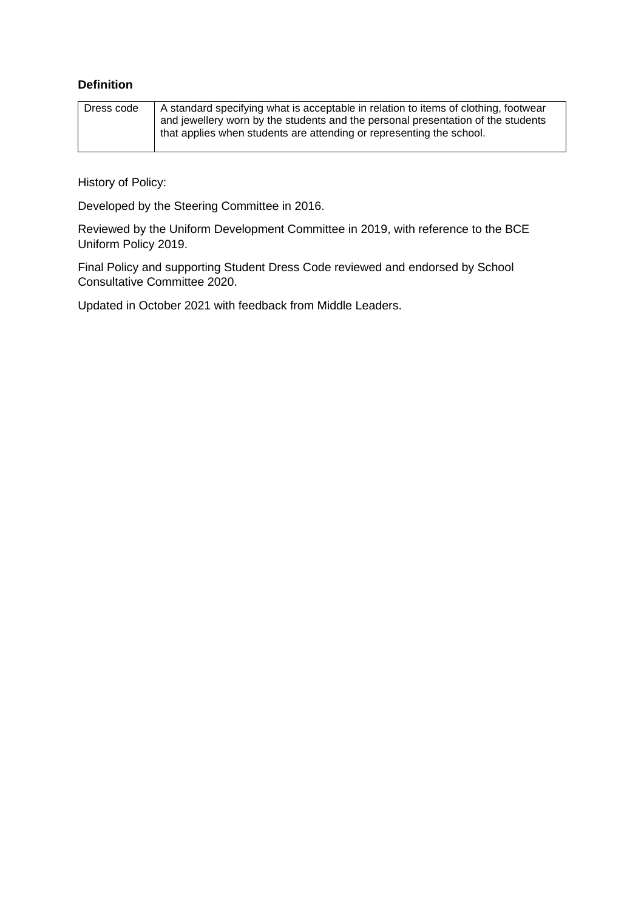## **Definition**

| Dress code | A standard specifying what is acceptable in relation to items of clothing, footwear |
|------------|-------------------------------------------------------------------------------------|
|            | and jewellery worn by the students and the personal presentation of the students    |
|            | that applies when students are attending or representing the school.                |
|            |                                                                                     |

History of Policy:

Developed by the Steering Committee in 2016.

Reviewed by the Uniform Development Committee in 2019, with reference to the BCE Uniform Policy 2019.

Final Policy and supporting Student Dress Code reviewed and endorsed by School Consultative Committee 2020.

Updated in October 2021 with feedback from Middle Leaders.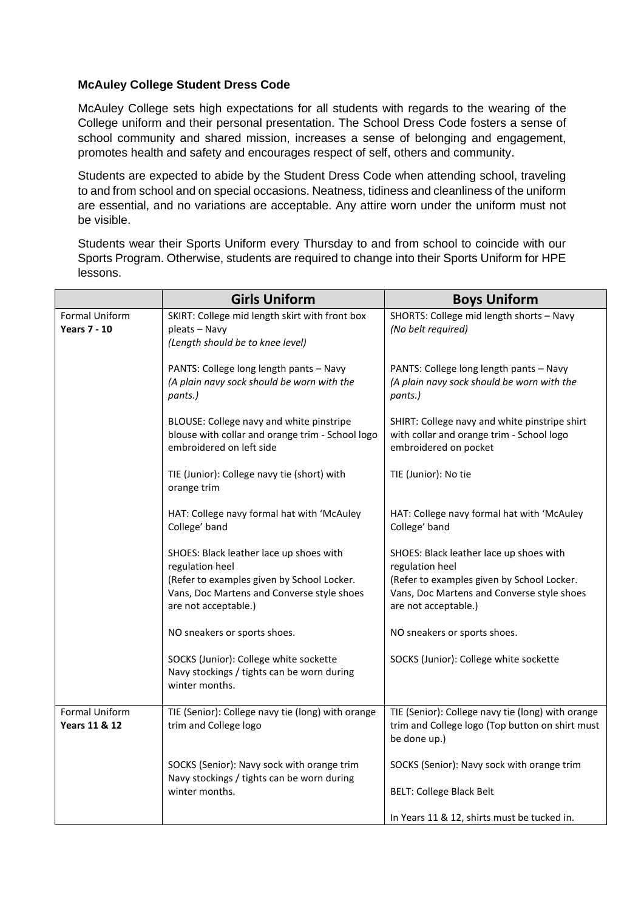#### **McAuley College Student Dress Code**

McAuley College sets high expectations for all students with regards to the wearing of the College uniform and their personal presentation. The School Dress Code fosters a sense of school community and shared mission, increases a sense of belonging and engagement, promotes health and safety and encourages respect of self, others and community.

Students are expected to abide by the Student Dress Code when attending school, traveling to and from school and on special occasions. Neatness, tidiness and cleanliness of the uniform are essential, and no variations are acceptable. Any attire worn under the uniform must not be visible.

Students wear their Sports Uniform every Thursday to and from school to coincide with our Sports Program. Otherwise, students are required to change into their Sports Uniform for HPE lessons.

|                                            | <b>Girls Uniform</b>                                                                                                                                                           | <b>Boys Uniform</b>                                                                                                                                                            |
|--------------------------------------------|--------------------------------------------------------------------------------------------------------------------------------------------------------------------------------|--------------------------------------------------------------------------------------------------------------------------------------------------------------------------------|
| Formal Uniform<br><b>Years 7 - 10</b>      | SKIRT: College mid length skirt with front box<br>pleats - Navy<br>(Length should be to knee level)                                                                            | SHORTS: College mid length shorts - Navy<br>(No belt required)                                                                                                                 |
|                                            | PANTS: College long length pants - Navy<br>(A plain navy sock should be worn with the<br>pants.)                                                                               | PANTS: College long length pants - Navy<br>(A plain navy sock should be worn with the<br>pants.)                                                                               |
|                                            | BLOUSE: College navy and white pinstripe<br>blouse with collar and orange trim - School logo<br>embroidered on left side                                                       | SHIRT: College navy and white pinstripe shirt<br>with collar and orange trim - School logo<br>embroidered on pocket                                                            |
|                                            | TIE (Junior): College navy tie (short) with<br>orange trim                                                                                                                     | TIE (Junior): No tie                                                                                                                                                           |
|                                            | HAT: College navy formal hat with 'McAuley<br>College' band                                                                                                                    | HAT: College navy formal hat with 'McAuley<br>College' band                                                                                                                    |
|                                            | SHOES: Black leather lace up shoes with<br>regulation heel<br>(Refer to examples given by School Locker.<br>Vans, Doc Martens and Converse style shoes<br>are not acceptable.) | SHOES: Black leather lace up shoes with<br>regulation heel<br>(Refer to examples given by School Locker.<br>Vans, Doc Martens and Converse style shoes<br>are not acceptable.) |
|                                            | NO sneakers or sports shoes.                                                                                                                                                   | NO sneakers or sports shoes.                                                                                                                                                   |
|                                            | SOCKS (Junior): College white sockette<br>Navy stockings / tights can be worn during<br>winter months.                                                                         | SOCKS (Junior): College white sockette                                                                                                                                         |
| Formal Uniform<br><b>Years 11 &amp; 12</b> | TIE (Senior): College navy tie (long) with orange<br>trim and College logo                                                                                                     | TIE (Senior): College navy tie (long) with orange<br>trim and College logo (Top button on shirt must<br>be done up.)                                                           |
|                                            | SOCKS (Senior): Navy sock with orange trim<br>Navy stockings / tights can be worn during                                                                                       | SOCKS (Senior): Navy sock with orange trim                                                                                                                                     |
|                                            | winter months.                                                                                                                                                                 | <b>BELT: College Black Belt</b>                                                                                                                                                |
|                                            |                                                                                                                                                                                | In Years 11 & 12, shirts must be tucked in.                                                                                                                                    |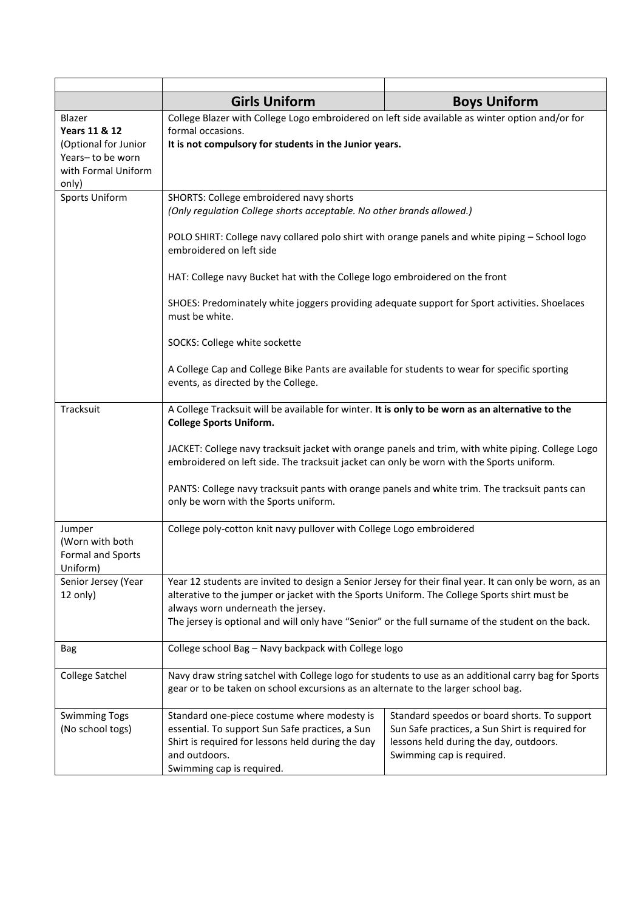|                                                                                                                | <b>Girls Uniform</b>                                                                                                                                                                                                                                                                                                                                                                                                                                                            | <b>Boys Uniform</b>                                                                                                                                                    |  |
|----------------------------------------------------------------------------------------------------------------|---------------------------------------------------------------------------------------------------------------------------------------------------------------------------------------------------------------------------------------------------------------------------------------------------------------------------------------------------------------------------------------------------------------------------------------------------------------------------------|------------------------------------------------------------------------------------------------------------------------------------------------------------------------|--|
| Blazer<br><b>Years 11 &amp; 12</b><br>(Optional for Junior<br>Years-to be worn<br>with Formal Uniform<br>only) | College Blazer with College Logo embroidered on left side available as winter option and/or for<br>formal occasions.<br>It is not compulsory for students in the Junior years.                                                                                                                                                                                                                                                                                                  |                                                                                                                                                                        |  |
| <b>Sports Uniform</b>                                                                                          | SHORTS: College embroidered navy shorts<br>(Only regulation College shorts acceptable. No other brands allowed.)<br>POLO SHIRT: College navy collared polo shirt with orange panels and white piping - School logo<br>embroidered on left side<br>HAT: College navy Bucket hat with the College logo embroidered on the front<br>SHOES: Predominately white joggers providing adequate support for Sport activities. Shoelaces                                                  |                                                                                                                                                                        |  |
|                                                                                                                | must be white.<br>SOCKS: College white sockette<br>A College Cap and College Bike Pants are available for students to wear for specific sporting<br>events, as directed by the College.                                                                                                                                                                                                                                                                                         |                                                                                                                                                                        |  |
| Tracksuit                                                                                                      | A College Tracksuit will be available for winter. It is only to be worn as an alternative to the<br><b>College Sports Uniform.</b><br>JACKET: College navy tracksuit jacket with orange panels and trim, with white piping. College Logo<br>embroidered on left side. The tracksuit jacket can only be worn with the Sports uniform.<br>PANTS: College navy tracksuit pants with orange panels and white trim. The tracksuit pants can<br>only be worn with the Sports uniform. |                                                                                                                                                                        |  |
| Jumper<br>(Worn with both<br>Formal and Sports<br>Uniform)                                                     | College poly-cotton knit navy pullover with College Logo embroidered                                                                                                                                                                                                                                                                                                                                                                                                            |                                                                                                                                                                        |  |
| Senior Jersey (Year<br>12 only)                                                                                | Year 12 students are invited to design a Senior Jersey for their final year. It can only be worn, as an<br>alterative to the jumper or jacket with the Sports Uniform. The College Sports shirt must be<br>always worn underneath the jersey.<br>The jersey is optional and will only have "Senior" or the full surname of the student on the back.                                                                                                                             |                                                                                                                                                                        |  |
| Bag                                                                                                            | College school Bag - Navy backpack with College logo                                                                                                                                                                                                                                                                                                                                                                                                                            |                                                                                                                                                                        |  |
| <b>College Satchel</b>                                                                                         | Navy draw string satchel with College logo for students to use as an additional carry bag for Sports<br>gear or to be taken on school excursions as an alternate to the larger school bag.                                                                                                                                                                                                                                                                                      |                                                                                                                                                                        |  |
| <b>Swimming Togs</b><br>(No school togs)                                                                       | Standard one-piece costume where modesty is<br>essential. To support Sun Safe practices, a Sun<br>Shirt is required for lessons held during the day<br>and outdoors.<br>Swimming cap is required.                                                                                                                                                                                                                                                                               | Standard speedos or board shorts. To support<br>Sun Safe practices, a Sun Shirt is required for<br>lessons held during the day, outdoors.<br>Swimming cap is required. |  |